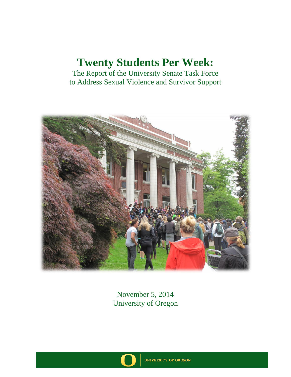The Report of the University Senate Task Force to Address Sexual Violence and Survivor Support



November 5, 2014 University of Oregon

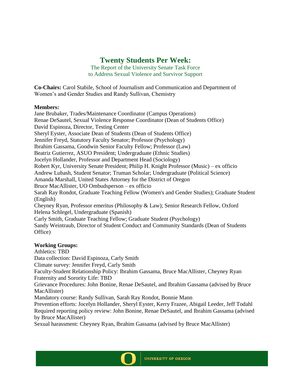The Report of the University Senate Task Force to Address Sexual Violence and Survivor Support

**Co-Chairs:** Carol Stabile, School of Journalism and Communication and Department of Women's and Gender Studies and Randy Sullivan, Chemistry

#### **Members:**

Jane Brubaker, Trades/Maintenance Coordinator (Campus Operations) Renae DeSautel, Sexual Violence Response Coordinator (Dean of Students Office) David Espinoza, Director, Testing Center Sheryl Eyster, Associate Dean of Students (Dean of Students Office) Jennifer Freyd, Statutory Faculty Senator; Professor (Psychology) Ibrahim Gassama, Goodwin Senior Faculty Fellow; Professor (Law) Beatriz Gutierrez, ASUO President; Undergraduate (Ethnic Studies) Jocelyn Hollander, Professor and Department Head (Sociology) Robert Kyr, University Senate President; Philip H. Knight Professor (Music) – ex officio Andrew Lubash, Student Senator; Truman Scholar; Undergraduate (Political Science) Amanda Marshall, United States Attorney for the District of Oregon Bruce MacAllister, UO Ombudsperson – ex officio Sarah Ray Rondot, Graduate Teaching Fellow (Women's and Gender Studies); Graduate Student (English) Cheyney Ryan, Professor emeritus (Philosophy & Law); Senior Research Fellow, Oxford Helena Schlegel, Undergraduate (Spanish) Carly Smith, Graduate Teaching Fellow; Graduate Student (Psychology) Sandy Weintraub, Director of Student Conduct and Community Standards (Dean of Students Office)

## **Working Groups:**

Athletics: TBD Data collection: David Espinoza, Carly Smith Climate survey: Jennifer Freyd, Carly Smith Faculty-Student Relationship Policy: Ibrahim Gassama, Bruce MacAllister, Cheyney Ryan Fraternity and Sorority Life: TBD Grievance Procedures: John Bonine, Renae DeSautel, and Ibrahim Gassama (advised by Bruce MacAllister) Mandatory course: Randy Sullivan, Sarah Ray Rondot, Bonnie Mann Prevention efforts: Jocelyn Hollander, Sheryl Eyster, Kerry Frazee, Abigail Leeder, Jeff Todahl Required reporting policy review: John Bonine, Renae DeSautel, and Ibrahim Gassama (advised by Bruce MacAllister)

Sexual harassment: Cheyney Ryan, Ibrahim Gassama (advised by Bruce MacAllister)

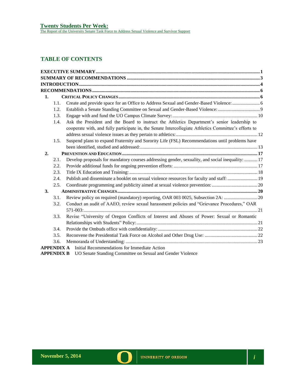# **TABLE OF CONTENTS**

| 1. |      |                                                                                                                                                       |  |
|----|------|-------------------------------------------------------------------------------------------------------------------------------------------------------|--|
|    | 1.1. | Create and provide space for an Office to Address Sexual and Gender-Based Violence:                                                                   |  |
|    | 1.2. | Establish a Senate Standing Committee on Sexual and Gender-Based Violence:                                                                            |  |
|    | 1.3. |                                                                                                                                                       |  |
|    | 1.4. | Ask the President and the Board to instruct the Athletics Department's senior leadership to                                                           |  |
|    |      | cooperate with, and fully participate in, the Senate Intercollegiate Athletics Committee's efforts to                                                 |  |
|    |      |                                                                                                                                                       |  |
|    | 1.5. | Suspend plans to expand Fraternity and Sorority Life (FSL) Recommendations until problems have                                                        |  |
|    |      |                                                                                                                                                       |  |
| 2. |      |                                                                                                                                                       |  |
|    | 2.1. | Develop proposals for mandatory courses addressing gender, sexuality, and social inequality:  17                                                      |  |
|    | 2.2. |                                                                                                                                                       |  |
|    | 2.3. |                                                                                                                                                       |  |
|    | 2.4. | Publish and disseminate a booklet on sexual violence resources for faculty and staff: 19                                                              |  |
|    | 2.5. |                                                                                                                                                       |  |
| 3. |      |                                                                                                                                                       |  |
|    | 3.1. |                                                                                                                                                       |  |
|    | 3.2. | Conduct an audit of AAEO, review sexual harassment policies and "Grievance Procedures," OAR                                                           |  |
|    |      |                                                                                                                                                       |  |
|    | 3.3. | Revise "University of Oregon Conflicts of Interest and Abuses of Power: Sexual or Romantic                                                            |  |
|    |      |                                                                                                                                                       |  |
|    | 3.4. |                                                                                                                                                       |  |
|    | 3.5. |                                                                                                                                                       |  |
|    | 3.6. |                                                                                                                                                       |  |
|    |      | <b>APPENDIX A</b> Initial Recommendations for Immediate Action                                                                                        |  |
|    |      | $\mathbf{v} \circ \mathbf{v} = \mathbf{v} \circ \mathbf{v} = \mathbf{v} \circ \mathbf{v} = \mathbf{v} \circ \mathbf{v} = \mathbf{v} \circ \mathbf{v}$ |  |

**APPENDIX B** UO Senate Standing Committee on Sexual and Gender Violence

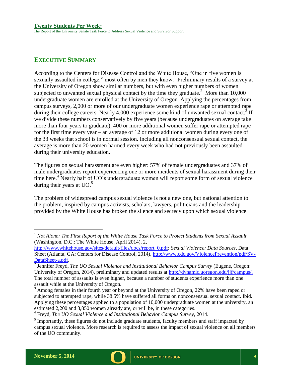# <span id="page-3-0"></span>**EXECUTIVE SUMMARY**

According to the Centers for Disease Control and the White House, "One in five women is sexually assaulted in college," most often by men they know.<sup>1</sup> Preliminary results of a survey at the University of Oregon show similar numbers, but with even higher numbers of women subjected to unwanted sexual physical contact by the time they graduate.<sup>2</sup> More than  $10,000$ undergraduate women are enrolled at the University of Oregon. Applying the percentages from campus surveys, 2,000 or more of our undergraduate women experience rape or attempted rape during their college careers. Nearly 4,000 experience some kind of unwanted sexual contact.<sup>3</sup> If we divide these numbers conservatively by five years (because undergraduates on average take more than four years to graduate), 400 or more additional women suffer rape or attempted rape for the first time every year – an average of 12 or more additional women during every one of the 33 weeks that school is in normal session. Including all nonconsensual sexual contact, the average is more than 20 women harmed every week who had not previously been assaulted during their university education.

The figures on sexual harassment are even higher: 57% of female undergraduates and 37% of male undergraduates report experiencing one or more incidents of sexual harassment during their time here.<sup>4</sup> Nearly half of UO's undergraduate women will report some form of sexual violence during their years at UO.<sup>5</sup>

The problem of widespread campus sexual violence is not a new one, but national attention to the problem, inspired by campus activists, scholars, lawyers, politicians and the leadership provided by the White House has broken the silence and secrecy upon which sexual violence

<sup>&</sup>lt;sup>1</sup> Not Alone: The First Report of the White House Task Force to Protect Students from Sexual Assault (Washington, D.C.: The White House, April 2014), 2,

[http://www.whitehouse.gov/sites/default/files/docs/report\\_0.pdf;](http://www.whitehouse.gov/sites/default/files/docs/report_0.pdf) *Sexual Violence: Data Sources*, Data Sheet (Atlanta, GA: Centers for Disease Control, 2014), [http://www.cdc.gov/ViolencePrevention/pdf/SV-](http://www.cdc.gov/ViolencePrevention/pdf/SV-DataSheet-a.pdf)[DataSheet-a.pdf,](http://www.cdc.gov/ViolencePrevention/pdf/SV-DataSheet-a.pdf)

<sup>2</sup> Jennifer Freyd, *The UO Sexual Violence and Institutional Behavior Campus Survey* (Eugene, Oregon: University of Oregon, 2014), preliminary and updated results at [http://dynamic.uoregon.edu/jjf/campus/.](http://dynamic.uoregon.edu/jjf/campus/) The total number of assaults is even higher, because a number of students experience more than one assault while at the University of Oregon.

 $3$  Among females in their fourth year or beyond at the University of Oregon, 22% have been raped or subjected to attempted rape, while 38.5% have suffered all forms on nonconsensual sexual contact. Ibid. Applying these percentages applied to a population of 10,000 undergraduate women at the university, an estimated 2,200 and 3,850 women already are, or will be, in these categories.

<sup>4</sup> Freyd, *The UO Sexual Violence and Institutional Behavior Campus Survey*, 2014.

 $<sup>5</sup>$  Importantly, these figures do not include graduate students, faculty members and staff impacted by</sup> campus sexual violence. More research is required to assess the impact of sexual violence on all members of the UO community.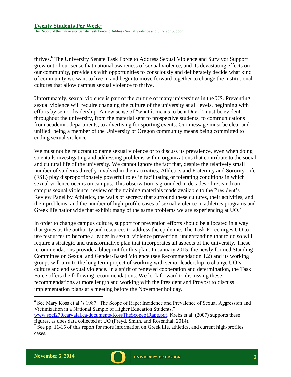thrives. 6 The University Senate Task Force to Address Sexual Violence and Survivor Support grew out of our sense that national awareness of sexual violence, and its devastating effects on our community, provide us with opportunities to consciously and deliberately decide what kind of community we want to live in and begin to move forward together to change the institutional cultures that allow campus sexual violence to thrive.

Unfortunately, sexual violence is part of the culture of many universities in the US. Preventing sexual violence will require changing the culture of the university at all levels, beginning with efforts by senior leadership. A new sense of "what it means to be a Duck" must be evident throughout the university, from the material sent to prospective students, to communications from academic departments, to advertising for sporting events. Our message must be clear and unified: being a member of the University of Oregon community means being committed to ending sexual violence.

We must not be reluctant to name sexual violence or to discuss its prevalence, even when doing so entails investigating and addressing problems within organizations that contribute to the social and cultural life of the university. We cannot ignore the fact that, despite the relatively small number of students directly involved in their activities, Athletics and Fraternity and Sorority Life (FSL) play disproportionately powerful roles in facilitating or tolerating conditions in which sexual violence occurs on campus. This observation is grounded in decades of research on campus sexual violence, review of the training materials made available to the President's Review Panel by Athletics, the walls of secrecy that surround these cultures, their activities, and their problems, and the number of high-profile cases of sexual violence in athletics programs and Greek life nationwide that exhibit many of the same problems we are experiencing at  $\overline{UO}$ .

In order to change campus culture, support for prevention efforts should be allocated in a way that gives us the authority and resources to address the epidemic. The Task Force urges UO to use resources to become a leader in sexual violence prevention, understanding that to do so will require a strategic and transformative plan that incorporates all aspects of the university. These recommendations provide a blueprint for this plan. In January 2015, the newly formed Standing Committee on Sexual and Gender-Based Violence (see Recommendation 1.2) and its working groups will turn to the long term project of working with senior leadership to change UO's culture and end sexual violence. In a spirit of renewed cooperation and determination, the Task Force offers the following recommendations. We look forward to discussing these recommendations at more length and working with the President and Provost to discuss implementation plans at a meeting before the November holiday.

<sup>6</sup> See Mary Koss et al.'s 1987 "The Scope of Rape: Incidence and Prevalence of Sexual Aggression and Victimization in a National Sample of Higher Education Students,"

[www.soci270.carvajal.ca/documents/KossTheScopeofRape.pdf.](http://www.soci270.carvajal.ca/documents/KossTheScopeofRape.pdf) Krebs et al. (2007) supports these figures, as does data collected at UO (Freyd, Smith, and Rosenthal, 2014).



 $7^7$  See pp. 11-15 of this report for more information on Greek life, athletics, and current high-profiles cases.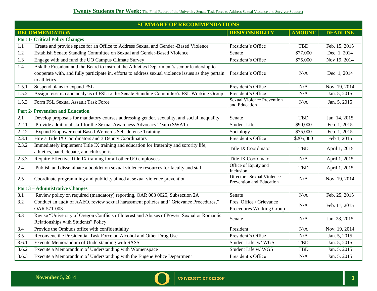<span id="page-5-0"></span>

| <b>SUMMARY OF RECOMMENDATIONS</b> |                                                                                                                                     |                                                        |               |                 |
|-----------------------------------|-------------------------------------------------------------------------------------------------------------------------------------|--------------------------------------------------------|---------------|-----------------|
|                                   | <b>RECOMMENDATION</b>                                                                                                               | <b>RESPONSIBILITY</b>                                  | <b>AMOUNT</b> | <b>DEADLINE</b> |
|                                   | <b>Part 1- Critical Policy Changes</b>                                                                                              |                                                        |               |                 |
| 1.1                               | Create and provide space for an Office to Address Sexual and Gender -Based Violence                                                 | President's Office                                     | <b>TBD</b>    | Feb. 15, 2015   |
| 1.2                               | Establish Senate Standing Committee on Sexual and Gender-Based Violence                                                             | Senate                                                 | \$77,000      | Dec. 1, 2014    |
| 1.3                               | Engage with and fund the UO Campus Climate Survey                                                                                   | President's Office                                     | \$75,000      | Nov 19, 2014    |
| 1.4                               | Ask the President and the Board to instruct the Athletics Department's senior leadership to                                         |                                                        |               |                 |
|                                   | cooperate with, and fully participate in, efforts to address sexual violence issues as they pertain<br>to athletics                 | President's Office                                     | N/A           | Dec. 1, 2014    |
| 1.5.1                             | Suspend plans to expand FSL                                                                                                         | President's Office                                     | N/A           | Nov. 19, 2014   |
| 1.5.2                             | Assign research and analysis of FSL to the Senate Standing Committee's FSL Working Group                                            | President's Office                                     | N/A           | Jan. 5, 2015    |
| 1.5.3                             | Form FSL Sexual Assault Task Force                                                                                                  | <b>Sexual Violence Prevention</b><br>and Education     | N/A           | Jan. 5, 2015    |
|                                   | <b>Part 2- Prevention and Education</b>                                                                                             |                                                        |               |                 |
| 2.1                               | Develop proposals for mandatory courses addressing gender, sexuality, and social inequality                                         | Senate                                                 | <b>TBD</b>    | Jan. 14, 2015   |
| 2.2.1                             | Provide additional staff for the Sexual Awareness Advocacy Team (SWAT)                                                              | <b>Student Life</b>                                    | \$90,000      | Feb. 1, 2015    |
| 2.2.2                             | Expand Empowerment Based Women's Self-defense Training                                                                              | Sociology                                              | \$75,000      | Feb. 1, 2015    |
| 2.3.1                             | Hire a Title IX Coordinators and 3 Deputy Coordinators                                                                              | President's Office                                     | \$205,000     | Feb 1, 2015     |
| 2.3.2                             | Immediately implement Title IX training and education for fraternity and sorority life,<br>athletics, band, debate, and club sports | <b>Title IX Coordinator</b>                            | <b>TBD</b>    | April 1, 2015   |
| 2.3.3                             | Require Effective Title IX training for all other UO employees                                                                      | <b>Title IX Coordinator</b>                            | N/A           | April 1, 2015   |
| 2.4                               | Publish and disseminate a booklet on sexual violence resources for faculty and staff                                                | Office of Equity and<br>Inclusion                      | <b>TBD</b>    | April 1, 2015   |
| 2.5                               | Coordinate programming and publicity aimed at sexual violence prevention                                                            | Director - Sexual Violence<br>Prevention and Education | N/A           | Nov. 19, 2014   |
|                                   | <b>Part 3-Administrative Changes</b>                                                                                                |                                                        |               |                 |
| 3.1                               | Review policy on required (mandatory) reporting, OAR 003 0025, Subsection 2A                                                        | Senate                                                 | N/A           | Feb. 25, 2015   |
| $\overline{3.2}$                  | Conduct an audit of AAEO, review sexual harassment policies and "Grievance Procedures,"<br>OAR 571-003                              | Pres. Office / Grievance<br>Procedures Working Group   | N/A           | Feb. 11, 2015   |
| 3.3                               | Revise "University of Oregon Conflicts of Interest and Abuses of Power: Sexual or Romantic<br>Relationships with Students" Policy   | Senate                                                 | N/A           | Jan. 28, 2015   |
| 3.4                               | Provide the Ombuds office with confidentiality                                                                                      | President                                              | N/A           | Nov. 19, 2014   |
| $\overline{3.5}$                  | Reconvene the Presidential Task Force on Alcohol and Other Drug Use                                                                 | President's Office                                     | N/A           | Jan. 5, 2015    |
| 3.6.1                             | Execute Memorandum of Understanding with SASS                                                                                       | Student Life w/WGS                                     | <b>TBD</b>    | Jan. 5, 2015    |
| 3.6.2                             | Execute a Memorandum of Understanding with Womenspace                                                                               | Student Life w/WGS                                     | <b>TBD</b>    | Jan. 5, 2015    |
| 3.6.3                             | Execute a Memorandum of Understanding with the Eugene Police Department                                                             | President's Office                                     | N/A           | Jan. 5, 2015    |

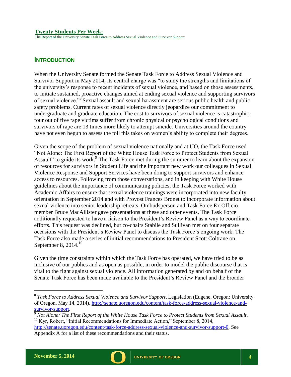<span id="page-6-0"></span>**INTRODUCTION**

When the University Senate formed the Senate Task Force to Address Sexual Violence and Survivor Support in May 2014, its central charge was "to study the strengths and limitations of the university's response to recent incidents of sexual violence, and based on those assessments, to initiate sustained, proactive changes aimed at ending sexual violence and supporting survivors of sexual violence."<sup>8</sup> Sexual assault and sexual harassment are serious public health and public safety problems. Current rates of sexual violence directly jeopardize our commitment to undergraduate and graduate education. The cost to survivors of sexual violence is catastrophic: four out of five rape victims suffer from chronic physical or psychological conditions and survivors of rape are 13 times more likely to attempt suicide. Universities around the country have not even begun to assess the toll this takes on women's ability to complete their degrees.

Given the scope of the problem of sexual violence nationally and at UO, the Task Force used "Not Alone: The First Report of the White House Task Force to Protect Students from Sexual Assault" to guide its work.<sup>9</sup> The Task Force met during the summer to learn about the expansion of resources for survivors in Student Life and the important new work our colleagues in Sexual Violence Response and Support Services have been doing to support survivors and enhance access to resources. Following from those conversations, and in keeping with White House guidelines about the importance of communicating policies, the Task Force worked with Academic Affairs to ensure that sexual violence trainings were incorporated into new faculty orientation in September 2014 and with Provost Frances Bronet to incorporate information about sexual violence into senior leadership retreats. Ombudsperson and Task Force Ex Officio member Bruce MacAllister gave presentations at these and other events. The Task Force additionally requested to have a liaison to the President's Review Panel as a way to coordinate efforts. This request was declined, but co-chairs Stabile and Sullivan met on four separate occasions with the President's Review Panel to discuss the Task Force's ongoing work. The Task Force also made a series of initial recommendations to President Scott Coltrane on September 8,  $2014$ <sup>10</sup>

Given the time constraints within which the Task Force has operated, we have tried to be as inclusive of our publics and as open as possible, in order to model the public discourse that is vital to the fight against sexual violence. All information generated by and on behalf of the Senate Task Force has been made available to the President's Review Panel and the broader



<sup>8</sup> *Task Force to Address Sexual Violence and Survivor Support*, Legislation (Eugene, Oregon: University of Oregon, May 14, 2014), [http://senate.uoregon.edu/content/task-force-address-sexual-violence-and](http://senate.uoregon.edu/content/task-force-address-sexual-violence-and-survivor-support)[survivor-support.](http://senate.uoregon.edu/content/task-force-address-sexual-violence-and-survivor-support)

<sup>9</sup> *Not Alone: The First Report of the White House Task Force to Protect Students from Sexual Assault*.  $10$  Kyr, Robert, "Initial Recommendations for Immediate Action," September 8, 2014, [http://senate.uoregon.edu/content/task-force-address-sexual-violence-and-survivor-support-0.](http://senate.uoregon.edu/content/task-force-address-sexual-violence-and-survivor-support-0) See Appendix A for a list of these recommendations and their status.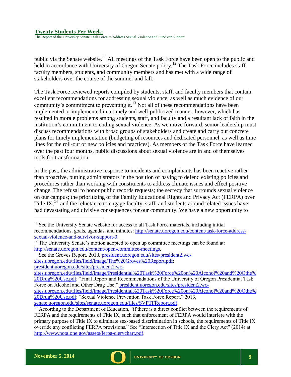The Report of the University Senate Task Force to Address Sexual Violence and Survivor Support

public via the Senate website.<sup>11</sup> All meetings of the Task Force have been open to the public and held in accordance with University of Oregon Senate policy.<sup>12</sup> The Task Force includes staff, faculty members, students, and community members and has met with a wide range of stakeholders over the course of the summer and fall.

The Task Force reviewed reports compiled by students, staff, and faculty members that contain excellent recommendations for addressing sexual violence, as well as much evidence of our community's commitment to preventing it.<sup>13</sup> Not all of these recommendations have been implemented or implemented in a timely and well-publicized manner, however, which has resulted in morale problems among students, staff, and faculty and a resultant lack of faith in the institution's commitment to ending sexual violence. As we move forward, senior leadership must discuss recommendations with broad groups of stakeholders and create and carry out concrete plans for timely implementation (budgeting of resources and dedicated personnel, as well as time lines for the roll-out of new policies and practices). As members of the Task Force have learned over the past four months, public discussions about sexual violence are in and of themselves tools for transformation.

In the past, the administrative response to incidents and complainants has been reactive rather than proactive, putting administrators in the position of having to defend existing policies and procedures rather than working with constituents to address climate issues and effect positive change. The refusal to honor public records requests; the secrecy that surrounds sexual violence on our campus; the prioritizing of the Family Educational Rights and Privacy Act (FERPA) over Title  $IX<sub>i</sub><sup>14</sup>$  and the reluctance to engage faculty, staff, and students around related issues have had devastating and divisive consequences for our community. We have a new opportunity to

- $<sup>11</sup>$  See the University Senate website for access to all Task Force materials, including initial</sup> recommendations, goals, agendas, and minutes: [http://senate.uoregon.edu/content/task-force-address](http://senate.uoregon.edu/content/task-force-address-sexual-violence-and-survivor-support-0)[sexual-violence-and-survivor-support-0.](http://senate.uoregon.edu/content/task-force-address-sexual-violence-and-survivor-support-0)
- <sup>12</sup> The University Senate's motion adopted to open up committee meetings can be found at: [http://senate.uoregon.edu/content/open-committee-meetings.](http://senate.uoregon.edu/content/open-committee-meetings)

<sup>&</sup>lt;sup>13</sup> See the Groves Report, 2013, [president.uoregon.edu/sites/president2.wc](http://president.uoregon.edu/sites/president3.wc-sites.uoregon.edu/files/field/image/The%20Groves%20Report.pdf)[sites.uoregon.edu/files/field/image/The%20Groves%20Report.pdf;](http://president.uoregon.edu/sites/president3.wc-sites.uoregon.edu/files/field/image/The%20Groves%20Report.pdf) [president.uoregon.edu/sites/president2.wc-](http://president.uoregon.edu/sites/president2.wc-sites.uoregon.edu/files/field/image/Presidential%20Task%20Force%20on%20Alcohol%20and%20Othe%20Drug%20Use.pdf)

[sites.uoregon.edu/files/field/image/Presidential%20Task%20Force%20on%20Alcohol%20and%20Othe%](http://president.uoregon.edu/sites/president2.wc-sites.uoregon.edu/files/field/image/Presidential%20Task%20Force%20on%20Alcohol%20and%20Othe%20Drug%20Use.pdf) [20Drug%20Use.pdf;](http://president.uoregon.edu/sites/president2.wc-sites.uoregon.edu/files/field/image/Presidential%20Task%20Force%20on%20Alcohol%20and%20Othe%20Drug%20Use.pdf) "Final Report and Recommendations of the University of Oregon Presidential Task Force on Alcohol and Other Drug Use," [president.uoregon.edu/sites/president2.wc-](http://president.uoregon.edu/sites/president2.wc-sites.uoregon.edu/files/field/image/Presidential%20Task%20Force%20on%20Alcohol%20and%20Othe%20Drug%20Use.pdf)

[sites.uoregon.edu/files/field/image/Presidential%20Task%20Force%20on%20Alcohol%20and%20Othe%](http://president.uoregon.edu/sites/president2.wc-sites.uoregon.edu/files/field/image/Presidential%20Task%20Force%20on%20Alcohol%20and%20Othe%20Drug%20Use.pdf) [20Drug%20Use.pdf;](http://president.uoregon.edu/sites/president2.wc-sites.uoregon.edu/files/field/image/Presidential%20Task%20Force%20on%20Alcohol%20and%20Othe%20Drug%20Use.pdf) "Sexual Violence Prevention Task Force Report," 2013, [senate.uoregon.edu/sites/senate.uoregon.edu/files/SVPTFReport.pdf.](file:///C:/Users/mark_unger/AppData/Local/Microsoft/Windows/Temporary%20Internet%20Files/Content.IE5/13OOADRD/senate.uoregon.edu/sites/senate.uoregon.edu/files/SVPTFReport.pdf)

 $\frac{14}{14}$  According to the Department of Education, "if there is a direct conflict between the requirements of FERPA and the requirements of Title IX, such that enforcement of FERPA would interfere with the primary purpose of Title IX to eliminate sex-based discrimination in schools, the requirements of Title IX override any conflicting FERPA provisions." See "Intersection of Title IX and the Clery Act" (2014) at [http://www.notalone.gov/assets/ferpa-clerychart.pdf.](http://www.notalone.gov/assets/ferpa-clerychart.pdf)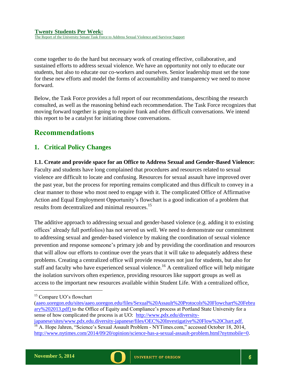The Report of the University Senate Task Force to Address Sexual Violence and Survivor Support

come together to do the hard but necessary work of creating effective, collaborative, and sustained efforts to address sexual violence. We have an opportunity not only to educate our students, but also to educate our co-workers and ourselves. Senior leadership must set the tone for these new efforts and model the forms of accountability and transparency we need to move forward.

Below, the Task Force provides a full report of our recommendations, describing the research consulted, as well as the reasoning behind each recommendation. The Task Force recognizes that moving forward together is going to require frank and often difficult conversations. We intend this report to be a catalyst for initiating those conversations.

# <span id="page-8-0"></span>**Recommendations**

# <span id="page-8-1"></span>**1. Critical Policy Changes**

<span id="page-8-2"></span>**1.1. Create and provide space for an Office to Address Sexual and Gender-Based Violence:** Faculty and students have long complained that procedures and resources related to sexual violence are difficult to locate and confusing. Resources for sexual assault have improved over the past year, but the process for reporting remains complicated and thus difficult to convey in a clear manner to those who most need to engage with it. The complicated Office of Affirmative Action and Equal Employment Opportunity's flowchart is a good indication of a problem that results from decentralized and minimal resources.<sup>15</sup>

The additive approach to addressing sexual and gender-based violence (e.g. adding it to existing offices' already full portfolios) has not served us well. We need to demonstrate our commitment to addressing sexual and gender-based violence by making the coordination of sexual violence prevention and response someone's primary job and by providing the coordination and resources that will allow our efforts to continue over the years that it will take to adequately address these problems. Creating a centralized office will provide resources not just for students, but also for staff and faculty who have experienced sexual violence.<sup>16</sup> A centralized office will help mitigate the isolation survivors often experience, providing resources like support groups as well as access to the important new resources available within Student Life. With a centralized office,



<sup>&</sup>lt;sup>15</sup> Compare UO's flowchart

[<sup>\(</sup>aaeo.uoregon.edu/sites/aaeo.uoregon.edu/files/Sexual%20Assault%20Protocols%20Flowchart%20Febru](http://aaeo.uoregon.edu/sites/aaeo.uoregon.edu/files/Sexual%20Assault%20Protocols%20Flowchart%20February%202013.pdf) [ary%202013.pdf\)](http://aaeo.uoregon.edu/sites/aaeo.uoregon.edu/files/Sexual%20Assault%20Protocols%20Flowchart%20February%202013.pdf) to the Office of Equity and Compliance's process at Portland State University for a sense of how complicated the process is at UO: [http://www.pdx.edu/diversity](http://www.pdx.edu/diversity-japanese/sites/www.pdx.edu.diversity-japanese/files/OEC%20Investigative%20Flow%20Chart.pdf)[japanese/sites/www.pdx.edu.diversity-japanese/files/OEC%20Investigative%20Flow%20Chart.pdf.](http://www.pdx.edu/diversity-japanese/sites/www.pdx.edu.diversity-japanese/files/OEC%20Investigative%20Flow%20Chart.pdf)

 $16$ A. Hope Jahren, "Science's Sexual Assault Problem - NYTimes.com," accessed October 18, 2014, [http://www.nytimes.com/2014/09/20/opinion/science-has-a-sexual-assault-problem.html?nytmobile=0.](http://www.nytimes.com/2014/09/20/opinion/science-has-a-sexual-assault-problem.html?nytmobile=0)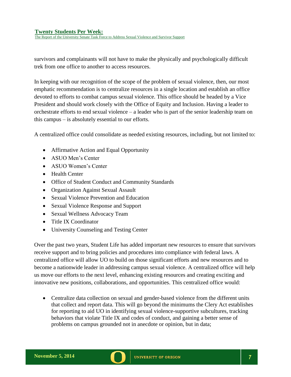The Report of the University Senate Task Force to Address Sexual Violence and Survivor Support

survivors and complainants will not have to make the physically and psychologically difficult trek from one office to another to access resources.

In keeping with our recognition of the scope of the problem of sexual violence, then, our most emphatic recommendation is to centralize resources in a single location and establish an office devoted to efforts to combat campus sexual violence. This office should be headed by a Vice President and should work closely with the Office of Equity and Inclusion. Having a leader to orchestrate efforts to end sexual violence – a leader who is part of the senior leadership team on this campus – is absolutely essential to our efforts.

A centralized office could consolidate as needed existing resources, including, but not limited to:

- Affirmative Action and Equal Opportunity
- ASUO Men's Center
- ASUO Women's Center
- Health Center
- Office of Student Conduct and Community Standards
- Organization Against Sexual Assault
- Sexual Violence Prevention and Education
- Sexual Violence Response and Support
- Sexual Wellness Advocacy Team
- Title IX Coordinator
- University Counseling and Testing Center

Over the past two years, Student Life has added important new resources to ensure that survivors receive support and to bring policies and procedures into compliance with federal laws. A centralized office will allow UO to build on those significant efforts and new resources and to become a nationwide leader in addressing campus sexual violence. A centralized office will help us move our efforts to the next level, enhancing existing resources and creating exciting and innovative new positions, collaborations, and opportunities. This centralized office would:

• Centralize data collection on sexual and gender-based violence from the different units that collect and report data. This will go beyond the minimums the Clery Act establishes for reporting to aid UO in identifying sexual violence-supportive subcultures, tracking behaviors that violate Title IX and codes of conduct, and gaining a better sense of problems on campus grounded not in anecdote or opinion, but in data;

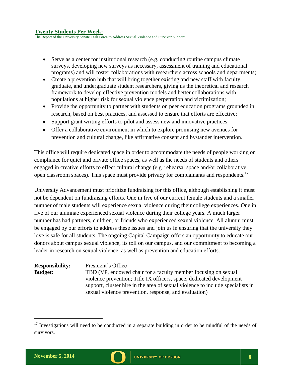The Report of the University Senate Task Force to Address Sexual Violence and Survivor Support

- Serve as a center for institutional research (e.g. conducting routine campus climate surveys, developing new surveys as necessary, assessment of training and educational programs) and will foster collaborations with researchers across schools and departments;
- Create a prevention hub that will bring together existing and new staff with faculty, graduate, and undergraduate student researchers, giving us the theoretical and research framework to develop effective prevention models and better collaborations with populations at higher risk for sexual violence perpetration and victimization;
- Provide the opportunity to partner with students on peer education programs grounded in research, based on best practices, and assessed to ensure that efforts are effective;
- Support grant writing efforts to pilot and assess new and innovative practices;
- Offer a collaborative environment in which to explore promising new avenues for prevention and cultural change, like affirmative consent and bystander intervention.

This office will require dedicated space in order to accommodate the needs of people working on compliance for quiet and private office spaces, as well as the needs of students and others engaged in creative efforts to effect cultural change (e.g. rehearsal space and/or collaborative, open classroom spaces). This space must provide privacy for complainants and respondents.<sup>17</sup>

University Advancement must prioritize fundraising for this office, although establishing it must not be dependent on fundraising efforts. One in five of our current female students and a smaller number of male students will experience sexual violence during their college experiences. One in five of our alumnae experienced sexual violence during their college years. A much larger number has had partners, children, or friends who experienced sexual violence. All alumni must be engaged by our efforts to address these issues and join us in ensuring that the university they love is safe for all students. The ongoing Capital Campaign offers an opportunity to educate our donors about campus sexual violence, its toll on our campus, and our commitment to becoming a leader in research on sexual violence, as well as prevention and education efforts.

**Responsibility:** President's Office **Budget:** TBD (VP, endowed chair for a faculty member focusing on sexual violence prevention; Title IX officers, space, dedicated development support, cluster hire in the area of sexual violence to include specialists in sexual violence prevention, response, and evaluation)



 $17$  Investigations will need to be conducted in a separate building in order to be mindful of the needs of survivors.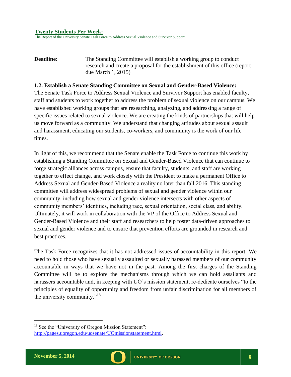The Report of the University Senate Task Force to Address Sexual Violence and Survivor Support

**Deadline:** The Standing Committee will establish a working group to conduct research and create a proposal for the establishment of this office (report due March 1, 2015)

#### <span id="page-11-0"></span>**1.2. Establish a Senate Standing Committee on Sexual and Gender-Based Violence:**

The Senate Task Force to Address Sexual Violence and Survivor Support has enabled faculty, staff and students to work together to address the problem of sexual violence on our campus. We have established working groups that are researching, analyzing, and addressing a range of specific issues related to sexual violence. We are creating the kinds of partnerships that will help us move forward as a community. We understand that changing attitudes about sexual assault and harassment, educating our students, co-workers, and community is the work of our life times.

In light of this, we recommend that the Senate enable the Task Force to continue this work by establishing a Standing Committee on Sexual and Gender-Based Violence that can continue to forge strategic alliances across campus, ensure that faculty, students, and staff are working together to effect change, and work closely with the President to make a permanent Office to Address Sexual and Gender-Based Violence a reality no later than fall 2016. This standing committee will address widespread problems of sexual and gender violence within our community, including how sexual and gender violence intersects with other aspects of community members' identities, including race, sexual orientation, social class, and ability. Ultimately, it will work in collaboration with the VP of the Office to Address Sexual and Gender-Based Violence and their staff and researchers to help foster data-driven approaches to sexual and gender violence and to ensure that prevention efforts are grounded in research and best practices.

The Task Force recognizes that it has not addressed issues of accountability in this report. We need to hold those who have sexually assaulted or sexually harassed members of our community accountable in ways that we have not in the past. Among the first charges of the Standing Committee will be to explore the mechanisms through which we can hold assailants and harassers accountable and, in keeping with UO's mission statement, re-dedicate ourselves "to the principles of equality of opportunity and freedom from unfair discrimination for all members of the university community."<sup>18</sup>

<sup>&</sup>lt;sup>18</sup> See the "University of Oregon Mission Statement":

[http://pages.uoregon.edu/uosenate/UOmissionstatement.html.](http://pages.uoregon.edu/uosenate/UOmissionstatement.html)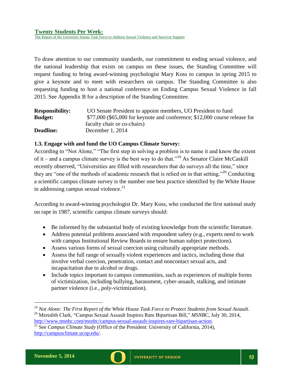The Report of the University Senate Task Force to Address Sexual Violence and Survivor Support

To draw attention to our community standards, our commitment to ending sexual violence, and the national leadership that exists on campus on these issues, the Standing Committee will request funding to bring award-winning psychologist Mary Koss to campus in spring 2015 to give a keynote and to meet with researchers on campus. The Standing Committee is also requesting funding to host a national conference on Ending Campus Sexual Violence in fall 2015. See Appendix B for a description of the Standing Committee.

| <b>Responsibility:</b> | UO Senate President to appoint members, UO President to fund                |
|------------------------|-----------------------------------------------------------------------------|
| <b>Budget:</b>         | $$77,000$ (\$65,000 for keynote and conference; \$12,000 course release for |
|                        | faculty chair or co-chairs)                                                 |
| <b>Deadline:</b>       | December 1, 2014                                                            |

#### <span id="page-12-0"></span>**1.3. Engage with and fund the UO Campus Climate Survey:**

According to "Not Alone," "The first step in solving a problem is to name it and know the extent of it – and a campus climate survey is the best way to do that."<sup>19</sup> As Senator Claire McCaskill recently observed, "Universities are filled with researchers that do surveys all the time," since they are "one of the methods of academic research that is relied on in that setting."<sup>20</sup> Conducting a scientific campus climate survey is the number one best practice identified by the White House in addressing campus sexual violence. $^{21}$ 

According to award-winning psychologist Dr. Mary Koss, who conducted the first national study on rape in 1987, scientific campus climate surveys should:

- Be informed by the substantial body of existing knowledge from the scientific literature.
- Address potential problems associated with respondent safety (e.g., experts need to work with campus Institutional Review Boards to ensure human subject protections).
- Assess various forms of sexual coercion using culturally appropriate methods.
- Assess the full range of sexually violent experiences and tactics, including those that involve verbal coercion, penetration, contact and noncontact sexual acts, and incapacitation due to alcohol or drugs.
- Include topics important to campus communities, such as experiences of multiple forms of victimization, including bullying, harassment, cyber-assault, stalking, and intimate partner violence (i.e., poly-victimization).



<sup>19</sup> *Not Alone: The First Report of the White House Task Force to Protect Students from Sexual Assault*. <sup>20</sup> Meredith Clark, "Campus Sexual Assault Inspires Rare Bipartisan Bill," *MSNBC*, July 30, 2014, [http://www.msnbc.com/msnbc/campus-sexual-assault-inspires-rare-bipartisan-action.](http://www.msnbc.com/msnbc/campus-sexual-assault-inspires-rare-bipartisan-action)

<sup>&</sup>lt;sup>21</sup> See *Campus Climate Study* (Office of the President: University of California, 2014), [http://campusclimate.ucop.edu/.](http://campusclimate.ucop.edu/)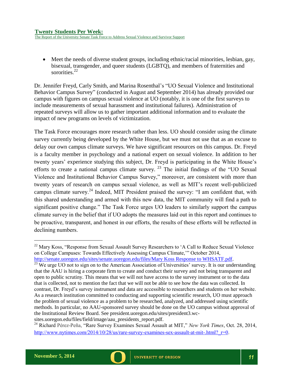The Report of the University Senate Task Force to Address Sexual Violence and Survivor Support

 Meet the needs of diverse student groups, including ethnic/racial minorities, lesbian, gay, bisexual, transgender, and queer students (LGBTQ), and members of fraternities and sororities.<sup>22</sup>

Dr. Jennifer Freyd, Carly Smith, and Marina Rosenthal's "UO Sexual Violence and Institutional Behavior Campus Survey" (conducted in August and September 2014) has already provided our campus with figures on campus sexual violence at UO (notably, it is one of the first surveys to include measurements of sexual harassment and institutional failures). Administration of repeated surveys will allow us to gather important additional information and to evaluate the impact of new programs on levels of victimization.

The Task Force encourages more research rather than less. UO should consider using the climate survey currently being developed by the White House, but we must not use that as an excuse to delay our own campus climate surveys. We have significant resources on this campus. Dr. Freyd is a faculty member in psychology and a national expert on sexual violence. In addition to her twenty years' experience studying this subject, Dr. Freyd is participating in the White House's efforts to create a national campus climate survey.  $2^3$  The initial findings of the "UO Sexual Violence and Institutional Behavior Campus Survey," moreover, are consistent with more than twenty years of research on campus sexual violence, as well as MIT's recent well-publicized campus climate survey.<sup>24</sup> Indeed, MIT President praised the survey: "I am confident that, with this shared understanding and armed with this new data, the MIT community will find a path to significant positive change." The Task Force urges UO leaders to similarly support the campus climate survey in the belief that if UO adopts the measures laid out in this report and continues to be proactive, transparent, and honest in our efforts, the results of these efforts will be reflected in declining numbers.



 $22$  Mary Koss, "Response from Sexual Assault Survey Researchers to 'A Call to Reduce Sexual Violence on College Campuses: Towards Effectively Assessing Campus Climate,'" October 2014, [http://senate.uoregon.edu/sites/senate.uoregon.edu/files/Mary Koss Response to WHSATF.pdf.](http://senate.uoregon.edu/sites/senate.uoregon.edu/files/Mary%20Koss%20Response%20to%20WHSATF.pdf)

 $^{23}$  We urge UO not to sign on to the American Association of Universities' survey. It is our understanding that the AAU is hiring a corporate firm to create and conduct their survey and not being transparent and open to public scrutiny. This means that we will not have access to the survey instrument or to the data that is collected, not to mention the fact that we will not be able to see how the data was collected. In contrast, Dr. Freyd's survey instrument and data are accessible to researchers and students on her website. As a research institution committed to conducting and supporting scientific research, UO must approach the problem of sexual violence as a problem to be researched, analyzed, and addressed using scientific methods. In particular, no AAU-sponsored survey should be done on the UO campus without approval of the Institutional Review Board. See president.uoregon.edu/sites/president3.wcsites.uoregon.edu/files/field/image/aau\_presidents\_report.pdf.

<sup>24</sup> Richard Pérez-Peña, "Rare Survey Examines Sexual Assault at MIT," *New York Times*, Oct. 28, 2014, http://www.nytimes.com/2014/10/28/us/rare-survey-examines-sex-assault-at-mit-.html? r=0.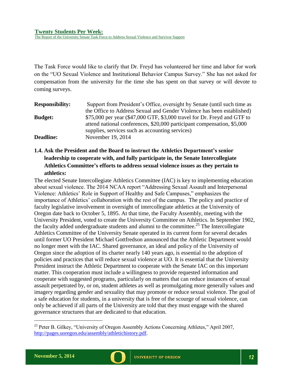The Report of the University Senate Task Force to Address Sexual Violence and Survivor Support

The Task Force would like to clarify that Dr. Freyd has volunteered her time and labor for work on the "UO Sexual Violence and Institutional Behavior Campus Survey." She has not asked for compensation from the university for the time she has spent on that survey or will devote to coming surveys.

**Responsibility:** Support from President's Office, oversight by Senate (until such time as the Office to Address Sexual and Gender Violence has been established) **Budget:** \$75,000 per year (\$47,000 GTF, \$3,000 travel for Dr. Freyd and GTF to attend national conferences, \$20,000 participant compensation, \$5,000 supplies, services such as accounting services) **Deadline:** November 19, 2014

# <span id="page-14-0"></span>**1.4. Ask the President and the Board to instruct the Athletics Department's senior leadership to cooperate with, and fully participate in, the Senate Intercollegiate Athletics Committee's efforts to address sexual violence issues as they pertain to athletics:**

The elected Senate Intercollegiate Athletics Committee (IAC) is key to implementing education about sexual violence. The 2014 NCAA report "Addressing Sexual Assault and Interpersonal Violence: Athletics' Role in Support of Healthy and Safe Campuses," emphasizes the importance of Athletics' collaboration with the rest of the campus. The policy and practice of faculty legislative involvement in oversight of intercollegiate athletics at the University of Oregon date back to October 5, 1895. At that time, the Faculty Assembly, meeting with the University President, voted to create the University Committee on Athletics. In September 1902, the faculty added undergraduate students and alumni to the committee.<sup>25</sup> The Intercollegiate Athletics Committee of the University Senate operated in its current form for several decades until former UO President Michael Gottfredson announced that the Athletic Department would no longer meet with the IAC. Shared governance, an ideal and policy of the University of Oregon since the adoption of its charter nearly 140 years ago, is essential to the adoption of policies and practices that will reduce sexual violence at UO. It is essential that the University President instruct the Athletic Department to cooperate with the Senate IAC on this important matter. This cooperation must include a willingness to provide requested information and cooperate with suggested programs, particularly on matters that can reduce instances of sexual assault perpetrated by, or on, student athletes as well as promulgating more generally values and imagery regarding gender and sexuality that may promote or reduce sexual violence. The goal of a safe education for students, in a university that is free of the scourge of sexual violence, can only be achieved if all parts of the University are told that they must engage with the shared governance structures that are dedicated to that education.



<sup>&</sup>lt;sup>25</sup> Peter B. Gilkey, "University of Oregon Assembly Actions Concerning Athletes," April 2007, [http://pages.uoregon.edu/assembly/athletichistory.pdf.](http://pages.uoregon.edu/assembly/athletichistory.pdf)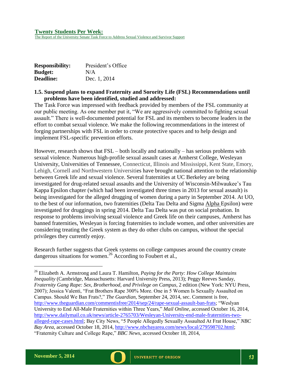The Report of the University Senate Task Force to Address Sexual Violence and Survivor Support

| <b>Responsibility:</b> | President's Office |
|------------------------|--------------------|
| <b>Budget:</b>         | N/A                |
| <b>Deadline:</b>       | Dec. 1, 2014       |

#### <span id="page-15-0"></span>**1.5. Suspend plans to expand Fraternity and Sorority Life (FSL) Recommendations until problems have been identified, studied and addressed:**

The Task Force was impressed with feedback provided by members of the FSL community at our public meeting. As one member put it, "We are aggressively committed to fighting sexual assault." There is well-documented potential for FSL and its members to become leaders in the effort to combat sexual violence. We make the following recommendations in the interest of forging partnerships with FSL in order to create protective spaces and to help design and implement FSL-specific prevention efforts.

However, research shows that FSL – both locally and nationally – has serious problems with sexual violence. Numerous high-profile sexual assault cases at Amherst College, Wesleyan University, Universities of Tennessee, Connecticut, Illinois and Mississippi, Kent State, Emory, Lehigh, Cornell and Northwestern Universities have brought national attention to the relationship between Greek life and sexual violence. Several fraternities at UC Berkeley are being investigated for drug-related sexual assaults and the University of Wisconsin-Milwaukee's Tau Kappa Epsilon chapter (which had been investigated three times in 2013 for sexual assault) is being investigated for the alleged drugging of women during a party in September 2014. At UO, to the best of our information, two fraternities (Delta Tau Delta and Sigma Alpha Epsilon) were investigated for druggings in spring 2014. Delta Tau Delta was put on social probation. In response to problems involving sexual violence and Greek life on their campuses, Amherst has banned fraternities, Wesleyan is forcing fraternities to include women, and other universities are considering treating the Greek system as they do other clubs on campus, without the special privileges they currently enjoy.

Research further suggests that Greek systems on college campuses around the country create dangerous situations for women.<sup>26</sup> According to Foubert et al.,



<sup>26</sup> Elizabeth A. Armstrong and Laura T. Hamilton, *Paying for the Party: How College Maintains Inequality* (Cambridge, Massachusetts: Harvard University Press, 2013); Peggy Reeves Sanday, *Fraternity Gang Rape: Sex, Brotherhood, and Privilege on Campus*, 2 edition (New York: NYU Press, 2007); Jessica Valenti, "Frat Brothers Rape 300% More. One in 5 Women Is Sexually Assaulted on Campus. Should We Ban Frats?," *The Guardian*, September 24, 2014, sec. Comment is free, [http://www.theguardian.com/commentisfree/2014/sep/24/rape-sexual-assault-ban-frats;](http://www.theguardian.com/commentisfree/2014/sep/24/rape-sexual-assault-ban-frats) "Weslyan University to End All-Male Fraternities within Three Years," *Mail Online*, accessed October 16, 2014, [http://www.dailymail.co.uk/news/article-2765703/Wesleyan-University-end-male-fraternities-two](http://www.dailymail.co.uk/news/article-2765703/Wesleyan-University-end-male-fraternities-two-alleged-rape-cases.html)[alleged-rape-cases.html;](http://www.dailymail.co.uk/news/article-2765703/Wesleyan-University-end-male-fraternities-two-alleged-rape-cases.html) Bay City News, "5 People Allegedly Sexually Assaulted At Frat House," *NBC Bay Area*, accessed October 18, 2014, [http://www.nbcbayarea.com/news/local/279598702.html;](http://www.nbcbayarea.com/news/local/279598702.html) "Fraternity Culture and College Rape," *BBC News*, accessed October 18, 2014,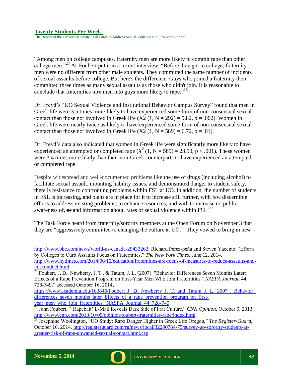The Report of the University Senate Task Force to Address Sexual Violence and Survivor Support

"Among men on college campuses, fraternity men are more likely to commit rape than other college men."<sup>27</sup> As Foubert put it in a recent interview, "Before they got to college, fraternity men were no different from other male students. They committed the same number of incidents of sexual assaults before college. But here's the difference. Guys who joined a fraternity then committed three times as many sexual assaults as those who didn't join. It is reasonable to conclude that fraternities turn men into guys more likely to rape.<sup>228</sup>

Dr. Freyd's "UO Sexual Violence and Institutional Behavior Campus Survey" found that men in Greek life were 3.5 times more likely to have experienced some form of non-consensual sexual contact than those not involved in Greek life  $(X2 (1, N = 292) = 9.82, p = .002)$ . Women in Greek life were nearly twice as likely to have experienced some form of non-consensual sexual contact than those not involved in Greek life  $(X2 (1, N = 589) = 6.72, p = .01)$ .

Dr. Freyd's data also indicated that women in Greek life were significantly more likely to have experienced an attempted or completed rape  $(X^2 (1, N = 589) = 23.50, p < .001)$ . These women were 3.4 times more likely than their non-Greek counterparts to have experienced an attempted or completed rape.

Despite widespread and well-documented problems like the use of drugs (including alcohol) to facilitate sexual assault, mounting liability issues, and demonstrated danger to student safety, there is resistance to confronting problems within FSL at UO. In addition, the number of students in FSL is increasing, and plans are in place for it to increase still further, with few discernible efforts to address existing problems, to enhance resources, and with to increase no public awareness of,  $\Theta$  and information about, rates of sexual violence within FSL.<sup>29</sup>

The Task Force heard from fraternity/sorority members at the Open Forum on November 3 that they are "aggressively committed to changing the culture at UO." They vowed to bring in new

[http://www.bbc.com/news/world-us-canada-29433262;](http://www.bbc.com/news/world-us-canada-29433262) Richard Pérez-peña and Steven Yaccino, "Efforts by Colleges to Curb Assaults Focus on Fraternities," *The New York Times*, June 12, 2014,

[http://www.nytimes.com/2014/06/13/education/fraternities-are-focus-of-measures-to-reduce-assaults-and](http://www.nytimes.com/2014/06/13/education/fraternities-are-focus-of-measures-to-reduce-assaults-and-misconduct.html)[misconduct.html.](http://www.nytimes.com/2014/06/13/education/fraternities-are-focus-of-measures-to-reduce-assaults-and-misconduct.html)

https://www.academia.edu/163846/Foubert J. D. Newberry J. T. and Tatum J. L. 2007. Behavior [differences\\_seven\\_months\\_later\\_Effects\\_of\\_a\\_rape\\_prevention\\_program\\_on\\_first](https://www.academia.edu/163846/Foubert_J._D._Newberry_J._T._and_Tatum_J._L._2007_._Behavior_differences_seven_months_later_Effects_of_a_rape_prevention_program_on_first-year_men_who_join_fraternities._NASPA_Journal_44_728-749)[year\\_men\\_who\\_join\\_fraternities.\\_NASPA\\_Journal\\_44\\_728-749.](https://www.academia.edu/163846/Foubert_J._D._Newberry_J._T._and_Tatum_J._L._2007_._Behavior_differences_seven_months_later_Effects_of_a_rape_prevention_program_on_first-year_men_who_join_fraternities._NASPA_Journal_44_728-749)

<sup>&</sup>lt;sup>27</sup> Foubert, J. D., Newberry, J. T., & Tatum, J. L. (2007). "Behavior Differences Seven Months Later: Effects of a Rape Prevention Program on First-Year Men Who Join Fraternities." *NASPA Journal*, 44, 728-749," accessed October 16, 2014,

<sup>28</sup> John Foubert, "'Rapebait' E-Mail Reveals Dark Side of Frat Culture," *CNN Opinion*, October 9, 2013, [http://www.cnn.com/2013/10/09/opinion/foubert-fraternities-rape/index.html.](http://www.cnn.com/2013/10/09/opinion/foubert-fraternities-rape/index.html)

<sup>29</sup> Josephine Woolington, "UO Study: Rape Danger Higher in Greek Life Oregon," *The Register-Guard*, October 16, 2014, [http://registerguard.com/rg/news/local/32290784-75/survey-uo-sorority-students-at](http://registerguard.com/rg/news/local/32290784-75/survey-uo-sorority-students-at-greater-risk-of-rape-unwanted-sexual-contact.html.csp)[greater-risk-of-rape-unwanted-sexual-contact.html.csp.](http://registerguard.com/rg/news/local/32290784-75/survey-uo-sorority-students-at-greater-risk-of-rape-unwanted-sexual-contact.html.csp)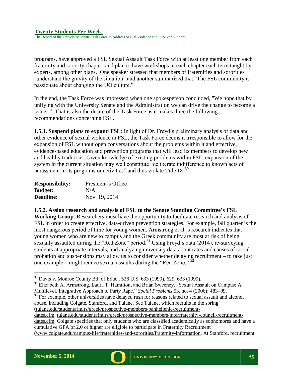The Report of the University Senate Task Force to Address Sexual Violence and Survivor Support

programs, have approved a FSL Sexual Assault Task Force with at least one member from each fraternity and sorority chapter, and plan to have workshops in each chapter each term taught by experts, among other plans. One speaker stressed that members of fraternities and sororities "understand the gravity of the situation" and another summarized that "The FSL community is passionate about changing the UO culture."

In the end, the Task Force was impressed when one spokesperson concluded, "We hope that by unifying with the University Senate and the Administration we can drive the change to become a leader." That is also the desire of the Task Force as it makes three the following recommendations concerning FSL.

**1.5.1. Suspend plans to expand FSL**: In light of Dr. Freyd's preliminary analysis of data and other evidence of sexual violence in FSL, the Task Force deems it irresponsible to allow for the expansion of FSL without open conversations about the problems within it and effective, evidence-based education and prevention programs that will lead its members to develop new and healthy traditions. Given knowledge of existing problems within FSL, expansion of the system in the current situation may well constitute "deliberate indifference to known acts of harassment in its programs or activities" and thus violate Title IX.<sup>30</sup>

| <b>Responsibility:</b> | President's Office |
|------------------------|--------------------|
| <b>Budget:</b>         | N/A                |
| <b>Deadline:</b>       | Nov. 19, 2014      |

**1.5.2. Assign research and analysis of FSL to the Senate Standing Committee's FSL** 

**Working Group**: Researchers must have the opportunity to facilitate research and analysis of FSL in order to create effective, data-driven prevention strategies. For example, fall quarter is the most dangerous period of time for young women. Armstrong et al.'s research indicates that young women who are new to campus and the Greek community are most at risk of being sexually assaulted during the "Red Zone" period.<sup>31</sup> Using Freyd's data (2014), re-surveying students at appropriate intervals, and analyzing university data about rates and causes of social probation and suspensions may allow us to consider whether delaying recruitment – to take just one example – might reduce sexual assaults during the "Red Zone."  $32$ 

 $32$  For example, other universities have delayed rush for reasons related to sexual assault and alcohol abuse, including Colgate, Stanford, and Tulane. See Tulane, which recruits in the spring [\(tulane.edu/studentaffairs/greek/prospective-members/panhellenic-recruitment-](http://tulane.edu/studentaffairs/greek/prospective-members/panhellenic-recruitment-dates.cfm)

[dates.cfm,](http://tulane.edu/studentaffairs/greek/prospective-members/panhellenic-recruitment-dates.cfm) [tulane.edu/studentaffairs/greek/prospective-members/interfraternity-council-recruitment-](http://tulane.edu/studentaffairs/greek/prospective-members/interfraternity-council-recruitment-dates.cfm)

[dates.cfm.](http://tulane.edu/studentaffairs/greek/prospective-members/interfraternity-council-recruitment-dates.cfm) Colgate specifies that only students who are classified academically as sophomores and have a cumulative GPA of 2.0 or higher are eligible to participate in Fraternity Recruitment

[\(www.colgate.edu/campus-life/fraternities-and-sororities/fraternity-information.](http://www.colgate.edu/campus-life/fraternities-and-sororities/fraternity-information) At Stanford, recruitment



<sup>&</sup>lt;sup>30</sup> Davis v. Monroe County Bd. of Educ., 526 U.S. 633 (1999), 629, 633 (1999).

<sup>&</sup>lt;sup>31</sup> Elizabeth A. Armstrong, Laura T. Hamilton, and Brian Sweeney, "Sexual Assault on Campus: A Multilevel, Integrative Approach to Party Rape," *Social Problems* 53, no. 4 (2006): 483–99.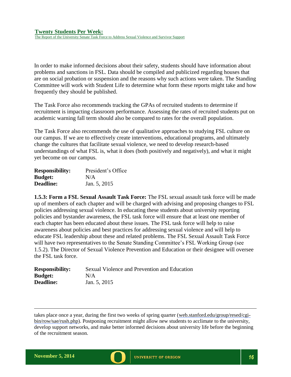In order to make informed decisions about their safety, students should have information about problems and sanctions in FSL. Data should be compiled and publicized regarding houses that are on social probation or suspension and the reasons why such actions were taken. The Standing Committee will work with Student Life to determine what form these reports might take and how frequently they should be published.

The Task Force also recommends tracking the GPAs of recruited students to determine if recruitment is impacting classroom performance. Assessing the rates of recruited students put on academic warning fall term should also be compared to rates for the overall population.

The Task Force also recommends the use of qualitative approaches to studying FSL culture on our campus. If we are to effectively create interventions, educational programs, and ultimately change the cultures that facilitate sexual violence, we need to develop research-based understandings of what FSL is, what it does (both positively and negatively), and what it might yet become on our campus.

| <b>Responsibility:</b> | President's Office |
|------------------------|--------------------|
| <b>Budget:</b>         | N/A                |
| <b>Deadline:</b>       | Jan. 5, 2015       |

**1.5.3: Form a FSL Sexual Assault Task Force:** The FSL sexual assault task force will be made up of members of each chapter and will be charged with advising and proposing changes to FSL policies addressing sexual violence. In educating these students about university reporting policies and bystander awareness, the FSL task force will ensure that at least one member of each chapter has been educated about these issues. The FSL task force will help to raise awareness about policies and best practices for addressing sexual violence and will help to educate FSL leadership about these and related problems. The FSL Sexual Assault Task Force will have two representatives to the Senate Standing Committee's FSL Working Group (see 1.5.2). The Director of Sexual Violence Prevention and Education or their designee will oversee the FSL task force.

| <b>Responsibility:</b> | Sexual Violence and Prevention and Education |
|------------------------|----------------------------------------------|
| <b>Budget:</b>         | N/A                                          |
| <b>Deadline:</b>       | Jan. 5, 2015                                 |

takes place once a year, during the first two weeks of spring quarter [\(web.stanford.edu/group/resed/cgi](http://web.stanford.edu/group/resed/cgi-bin/row/sae/rush.php)[bin/row/sae/rush.php\)](http://web.stanford.edu/group/resed/cgi-bin/row/sae/rush.php). Postponing recruitment might allow new students to acclimate to the university, develop support networks, and make better informed decisions about university life before the beginning of the recruitment season.

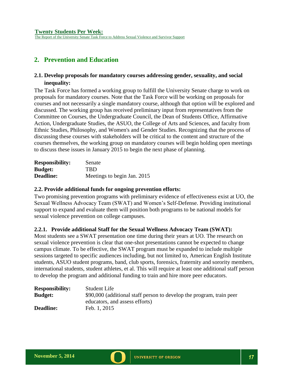# <span id="page-19-0"></span>**2. Prevention and Education**

## <span id="page-19-1"></span>**2.1. Develop proposals for mandatory courses addressing gender, sexuality, and social inequality:**

The Task Force has formed a working group to fulfill the University Senate charge to work on proposals for mandatory courses. Note that the Task Force will be working on proposals for courses and not necessarily a single mandatory course, although that option will be explored and discussed. The working group has received preliminary input from representatives from the Committee on Courses, the Undergraduate Council, the Dean of Students Office, Affirmative Action, Undergraduate Studies, the ASUO, the College of Arts and Sciences, and faculty from Ethnic Studies, Philosophy, and Women's and Gender Studies. Recognizing that the process of discussing these courses with stakeholders will be critical to the content and structure of the courses themselves, the working group on mandatory courses will begin holding open meetings to discuss these issues in January 2015 to begin the next phase of planning.

| <b>Responsibility:</b> | Senate                      |
|------------------------|-----------------------------|
| <b>Budget:</b>         | TBD.                        |
| <b>Deadline:</b>       | Meetings to begin Jan. 2015 |

#### <span id="page-19-2"></span>**2.2. Provide additional funds for ongoing prevention efforts:**

Two promising prevention programs with preliminary evidence of effectiveness exist at UO, the Sexual Wellness Advocacy Team (SWAT) and Women's Self-Defense. Providing institutional support to expand and evaluate them will position both programs to be national models for sexual violence prevention on college campuses.

#### **2.2.1. Provide additional Staff for the Sexual Wellness Advocacy Team (SWAT):**

Most students see a SWAT presentation one time during their years at UO. The research on sexual violence prevention is clear that one-shot presentations cannot be expected to change campus climate. To be effective, the SWAT program must be expanded to include multiple sessions targeted to specific audiences including, but not limited to, American English Institute students, ASUO student programs, band, club sports, forensics, fraternity and sorority members, international students, student athletes, et al. This will require at least one additional staff person to develop the program and additional funding to train and hire more peer educators.

| <b>Responsibility:</b> | Student Life                                                         |
|------------------------|----------------------------------------------------------------------|
| <b>Budget:</b>         | \$90,000 (additional staff person to develop the program, train peer |
|                        | educators, and assess efforts)                                       |
| <b>Deadline:</b>       | Feb. 1, 2015                                                         |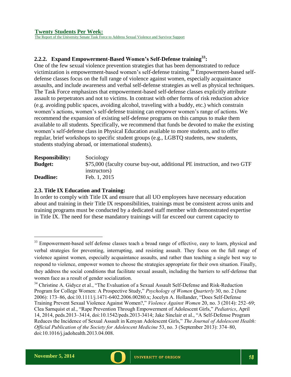The Report of the University Senate Task Force to Address Sexual Violence and Survivor Support

# **2.2.2. Expand Empowerment-Based Women's Self-Defense training<sup>33</sup>:**

One of the few sexual violence prevention strategies that has been demonstrated to reduce victimization is empowerment-based women's self-defense training.<sup>34</sup> Empowerment-based selfdefense classes focus on the full range of violence against women, especially acquaintance assaults, and include awareness and verbal self-defense strategies as well as physical techniques. The Task Force emphasizes that empowerment-based self-defense classes explicitly attribute assault to perpetrators and not to victims. In contrast with other forms of risk reduction advice (e.g. avoiding public spaces, avoiding alcohol, traveling with a buddy, etc.) which constrain women's actions, women's self-defense training can empower women's range of actions. We recommend the expansion of existing self-defense programs on this campus to make them available to all students. Specifically, we recommend that funds be devoted to make the existing women's self-defense class in Physical Education available to more students, and to offer regular, brief workshops to specific student groups (e.g., LGBTQ students, new students, students studying abroad, or international students).

| <b>Responsibility:</b> | Sociology                                                                |
|------------------------|--------------------------------------------------------------------------|
| <b>Budget:</b>         | \$75,000 (faculty course buy-out, additional PE instruction, and two GTF |
|                        | instructors)                                                             |
| <b>Deadline:</b>       | Feb. 1, 2015                                                             |

#### <span id="page-20-0"></span>**2.3. Title IX Education and Training:**

In order to comply with Title IX and ensure that all UO employees have necessary education about and training in their Title IX responsibilities, trainings must be consistent across units and training programs must be conducted by a dedicated staff member with demonstrated expertise in Title IX. The need for these mandatory trainings will far exceed our current capacity to



<sup>&</sup>lt;sup>33</sup> Empowerment-based self defense classes teach a broad range of effective, easy to learn, physical and verbal strategies for preventing, interrupting, and resisting assault. They focus on the full range of violence against women, especially acquaintance assaults, and rather than teaching a single best way to respond to violence, empower women to choose the strategies appropriate for their own situation. Finally, they address the social conditions that facilitate sexual assault, including the barriers to self-defense that women face as a result of gender socialization.

<sup>&</sup>lt;sup>34</sup> Christine A. Gidycz et al., "The Evaluation of a Sexual Assault Self-Defense and Risk-Reduction Program for College Women: A Prospective Study," *Psychology of Women Quarterly* 30, no. 2 (June 2006): 173–86, doi:10.1111/j.1471-6402.2006.00280.x; Jocelyn A. Hollander, "Does Self-Defense Training Prevent Sexual Violence Against Women?," *Violence Against Women* 20, no. 3 (2014): 252–69; Clea Sarnquist et al., "Rape Prevention Through Empowerment of Adolescent Girls," *Pediatrics*, April 14, 2014, peds.2013–3414, doi:10.1542/peds.2013-3414; Jake Sinclair et al., "A Self-Defense Program Reduces the Incidence of Sexual Assault in Kenyan Adolescent Girls," *The Journal of Adolescent Health: Official Publication of the Society for Adolescent Medicine* 53, no. 3 (September 2013): 374–80, doi:10.1016/j.jadohealth.2013.04.008.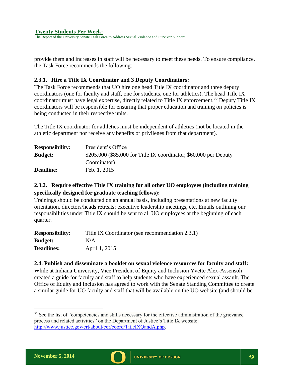**Twenty Students Per Week:** The Report of the University Senate Task Force to Address Sexual Violence and Survivor Support

provide them and increases in staff will be necessary to meet these needs. To ensure compliance, the Task Force recommends the following:

## **2.3.1. Hire a Title IX Coordinator and 3 Deputy Coordinators:**

The Task Force recommends that UO hire one head Title IX coordinator and three deputy coordinators (one for faculty and staff, one for students, one for athletics). The head Title IX coordinator must have legal expertise, directly related to Title IX enforcement.<sup>35</sup> Deputy Title IX coordinators will be responsible for ensuring that proper education and training on policies is being conducted in their respective units.

The Title IX coordinator for athletics must be independent of athletics (not be located in the athletic department nor receive any benefits or privileges from that department).

| President's Office                                                |
|-------------------------------------------------------------------|
| \$205,000 (\$85,000 for Title IX coordinator; \$60,000 per Deputy |
| Coordinator)                                                      |
| Feb. 1, 2015                                                      |
|                                                                   |

# **2.3.2. Require effective Title IX training for all other UO employees (including training specifically designed for graduate teaching fellows):**

Trainings should be conducted on an annual basis, including presentations at new faculty orientation, directors/heads retreats; executive leadership meetings, etc. Emails outlining our responsibilities under Title IX should be sent to all UO employees at the beginning of each quarter.

| <b>Responsibility:</b> | Title IX Coordinator (see recommendation 2.3.1) |
|------------------------|-------------------------------------------------|
| <b>Budget:</b>         | N/A                                             |
| <b>Deadlines:</b>      | April 1, 2015                                   |

## <span id="page-21-0"></span>**2.4. Publish and disseminate a booklet on sexual violence resources for faculty and staff:**

While at Indiana University, Vice President of Equity and Inclusion Yvette Alex-Assensoh created a guide for faculty and staff to help students who have experienced sexual assault. The Office of Equity and Inclusion has agreed to work with the Senate Standing Committee to create a similar guide for UO faculty and staff that will be available on the UO website (and should be



 $35$  See the list of "competencies and skills necessary for the effective administration of the grievance process and related activities" on the Department of Justice's Title IX website: [http://www.justice.gov/crt/about/cor/coord/TitleIXQandA.php.](http://www.justice.gov/crt/about/cor/coord/TitleIXQandA.php)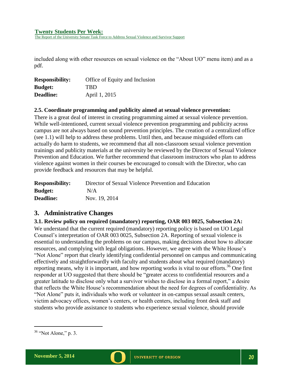The Report of the University Senate Task Force to Address Sexual Violence and Survivor Support

included along with other resources on sexual violence on the "About UO" menu item) and as a pdf.

| <b>Responsibility:</b> | Office of Equity and Inclusion |
|------------------------|--------------------------------|
| <b>Budget:</b>         | <b>TBD</b>                     |
| <b>Deadline:</b>       | April 1, 2015                  |

#### <span id="page-22-0"></span>**2.5. Coordinate programming and publicity aimed at sexual violence prevention:**

There is a great deal of interest in creating programming aimed at sexual violence prevention. While well-intentioned, current sexual violence prevention programming and publicity across campus are not always based on sound prevention principles. The creation of a centralized office (see 1.1) will help to address these problems. Until then, and because misguided efforts can actually do harm to students, we recommend that all non-classroom sexual violence prevention trainings and publicity materials at the university be reviewed by the Director of Sexual Violence Prevention and Education. We further recommend that classroom instructors who plan to address violence against women in their courses be encouraged to consult with the Director, who can provide feedback and resources that may be helpful.

| <b>Responsibility:</b> | Director of Sexual Violence Prevention and Education |
|------------------------|------------------------------------------------------|
| <b>Budget:</b>         | N/A                                                  |
| <b>Deadline:</b>       | Nov. 19, 2014                                        |

## <span id="page-22-1"></span>**3. Administrative Changes**

#### <span id="page-22-2"></span>**3.1. Review policy on required (mandatory) reporting, OAR 003 0025, Subsection 2A:**

We understand that the current required (mandatory) reporting policy is based on UO Legal Counsel's interpretation of OAR 003 0025, Subsection 2A. Reporting of sexual violence is essential to understanding the problems on our campus, making decisions about how to allocate resources, and complying with legal obligations. However, we agree with the White House's "Not Alone" report that clearly identifying confidential personnel on campus and communicating effectively and straightforwardly with faculty and students about what required (mandatory) reporting means, why it is important, and how reporting works is vital to our efforts.<sup>36</sup> One first responder at UO suggested that there should be "greater access to confidential resources and a greater latitude to disclose only what a survivor wishes to disclose in a formal report," a desire that reflects the White House's recommendation about the need for degrees of confidentiality. As "Not Alone" puts it, individuals who work or volunteer in on-campus sexual assault centers, victim advocacy offices, women's centers, or health centers, including front desk staff and students who provide assistance to students who experience sexual violence, should provide

<sup>36</sup> "Not Alone," p. 3.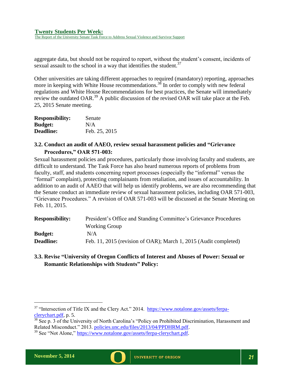The Report of the University Senate Task Force to Address Sexual Violence and Survivor Support

aggregate data, but should not be required to report, without the student's consent, incidents of sexual assault to the school in a way that identifies the student.<sup>37</sup>

Other universities are taking different approaches to required (mandatory) reporting, approaches more in keeping with White House recommendations.<sup>38</sup> In order to comply with new federal regulations and White House Recommendations for best practices, the Senate will immediately review the outdated OAR.<sup>39</sup> A public discussion of the revised OAR will take place at the Feb. 25, 2015 Senate meeting.

| <b>Responsibility:</b> | Senate        |
|------------------------|---------------|
| <b>Budget:</b>         | N/A           |
| Deadline:              | Feb. 25, 2015 |

## <span id="page-23-0"></span>**3.2. Conduct an audit of AAEO, review sexual harassment policies and "Grievance Procedures," OAR 571-003:**

Sexual harassment policies and procedures, particularly those involving faculty and students, are difficult to understand. The Task Force has also heard numerous reports of problems from faculty, staff, and students concerning report processes (especially the "informal" versus the "formal" complaint), protecting complainants from retaliation, and issues of accountability. In addition to an audit of AAEO that will help us identify problems, we are also recommending that the Senate conduct an immediate review of sexual harassment policies, including OAR 571-003, "Grievance Procedures." A revision of OAR 571-003 will be discussed at the Senate Meeting on Feb. 11, 2015.

| <b>Responsibility:</b> | President's Office and Standing Committee's Grievance Procedures |
|------------------------|------------------------------------------------------------------|
|                        | <b>Working Group</b>                                             |
| <b>Budget:</b>         | N/A                                                              |
| <b>Deadline:</b>       | Feb. 11, 2015 (revision of OAR); March 1, 2015 (Audit completed) |

# <span id="page-23-1"></span>**3.3. Revise "University of Oregon Conflicts of Interest and Abuses of Power: Sexual or Romantic Relationships with Students" Policy:**



<sup>&</sup>lt;sup>37</sup> "Intersection of Title IX and the Clery Act." 2014. [https://www.notalone.gov/assets/ferpa](https://www.notalone.gov/assets/ferpa-clerychart.pdf)[clerychart.pdf,](https://www.notalone.gov/assets/ferpa-clerychart.pdf) p. 5.

 $\frac{38}{38}$  See p. 3 of the University of North Carolina's "Policy on Prohibited Discrimination, Harassment and Related Misconduct." 2013. [policies.unc.edu/files/2013/04/PPDHRM.pdf.](http://policies.unc.edu/files/2013/04/PPDHRM.pdf)

<sup>&</sup>lt;sup>39</sup> See "Not Alone," [https://www.notalone.gov/assets/ferpa-clerychart.pdf.](https://www.notalone.gov/assets/ferpa-clerychart.pdf)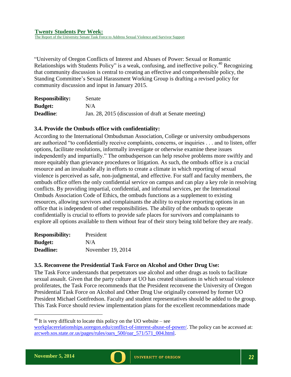The Report of the University Senate Task Force to Address Sexual Violence and Survivor Support

"University of Oregon Conflicts of Interest and Abuses of Power: Sexual or Romantic Relationships with Students Policy" is a weak, confusing, and ineffective policy.<sup>40</sup> Recognizing that community discussion is central to creating an effective and comprehensible policy, the Standing Committee's Sexual Harassment Working Group is drafting a revised policy for community discussion and input in January 2015.

| <b>Responsibility:</b> | Senate                                                |
|------------------------|-------------------------------------------------------|
| <b>Budget:</b>         | N/A                                                   |
| <b>Deadline:</b>       | Jan. 28, 2015 (discussion of draft at Senate meeting) |

### <span id="page-24-0"></span>**3.4. Provide the Ombuds office with confidentiality:**

According to the International Ombudsman Association, College or university ombudspersons are authorized "to confidentially receive complaints, concerns, or inquiries . . . and to listen, offer options, facilitate resolutions, informally investigate or otherwise examine these issues independently and impartially." The ombudsperson can help resolve problems more swiftly and more equitably than grievance procedures or litigation. As such, the ombuds office is a crucial resource and an invaluable ally in efforts to create a climate in which reporting of sexual violence is perceived as safe, non-judgmental, and effective. For staff and faculty members, the ombuds office offers the only confidential service on campus and can play a key role in resolving conflicts. By providing impartial, confidential, and informal services, per the International Ombuds Association Code of Ethics, the ombuds functions as a supplement to existing resources, allowing survivors and complainants the ability to explore reporting options in an office that is independent of other responsibilities. The ability of the ombuds to operate confidentially is crucial to efforts to provide safe places for survivors and complainants to explore all options available to them without fear of their story being told before they are ready.

| <b>Responsibility:</b> | President         |
|------------------------|-------------------|
| <b>Budget:</b>         | N/A               |
| <b>Deadline:</b>       | November 19, 2014 |

## <span id="page-24-1"></span>**3.5. Reconvene the Presidential Task Force on Alcohol and Other Drug Use:**

The Task Force understands that perpetrators use alcohol and other drugs as tools to facilitate sexual assault. Given that the party culture at UO has created situations in which sexual violence proliferates, the Task Force recommends that the President reconvene the University of Oregon Presidential Task Force on Alcohol and Other Drug Use originally convened by former UO President Michael Gottfredson. Faculty and student representatives should be added to the group. This Task Force should review implementation plans for the excellent recommendations made



 $^{40}$  It is very difficult to locate this policy on the UO website – see

[workplacerelationships.uoregon.edu/conflict-of-interest-abuse-of-power/.](http://workplacerelationships.uoregon.edu/conflict-of-interest-abuse-of-power/) The policy can be accessed at: [arcweb.sos.state.or.us/pages/rules/oars\\_500/oar\\_571/571\\_004.html.](http://campusclimate.ucop.edu/)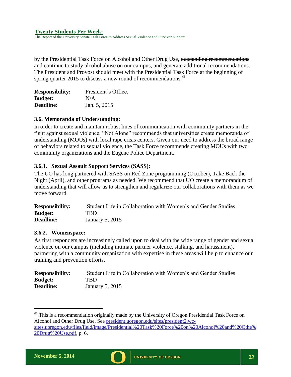The Report of the University Senate Task Force to Address Sexual Violence and Survivor Support

by the Presidential Task Force on Alcohol and Other Drug Use, outstanding recommendations and continue to study alcohol abuse on our campus, and generate additional recommendations. The President and Provost should meet with the Presidential Task Force at the beginning of spring quarter 2015 to discuss a new round of recommendations.**<sup>41</sup>**

| <b>Responsibility:</b> | President's Office. |
|------------------------|---------------------|
| <b>Budget:</b>         | $N/A$ .             |
| Deadline:              | Jan. 5, 2015        |

### <span id="page-25-0"></span>**3.6. Memoranda of Understanding:**

In order to create and maintain robust lines of communication with community partners in the fight against sexual violence, "Not Alone" recommends that universities create memoranda of understanding (MOUs) with local rape crisis centers. Given our need to address the broad range of behaviors related to sexual violence, the Task Force recommends creating MOUs with two community organizations and the Eugene Police Department.

### **3.6.1. Sexual Assault Support Services (SASS):**

The UO has long partnered with SASS on Red Zone programming (October), Take Back the Night (April), and other programs as needed. We recommend that UO create a memorandum of understanding that will allow us to strengthen and regularize our collaborations with them as we move forward.

| <b>Responsibility:</b> | Student Life in Collaboration with Women's and Gender Studies |
|------------------------|---------------------------------------------------------------|
| <b>Budget:</b>         | TBD                                                           |
| <b>Deadline:</b>       | January 5, $2015$                                             |

#### **3.6.2. Womenspace:**

As first responders are increasingly called upon to deal with the wide range of gender and sexual violence on our campus (including intimate partner violence, stalking, and harassment), partnering with a community organization with expertise in these areas will help to enhance our training and prevention efforts.

| <b>Responsibility:</b> | Student Life in Collaboration with Women's and Gender Studies |
|------------------------|---------------------------------------------------------------|
| <b>Budget:</b>         | TBD.                                                          |
| <b>Deadline:</b>       | January 5, 2015                                               |



 $41$  This is a recommendation originally made by the University of Oregon Presidential Task Force on Alcohol and Other Drug Use. See [president.uoregon.edu/sites/president2.wc](http://president.uoregon.edu/sites/president2.wc-sites.uoregon.edu/files/field/image/Presidential%20Task%20Force%20on%20Alcohol%20and%20Othe%20Drug%20Use.pdf)[sites.uoregon.edu/files/field/image/Presidential%20Task%20Force%20on%20Alcohol%20and%20Othe%](http://president.uoregon.edu/sites/president2.wc-sites.uoregon.edu/files/field/image/Presidential%20Task%20Force%20on%20Alcohol%20and%20Othe%20Drug%20Use.pdf) [20Drug%20Use.pdf,](http://president.uoregon.edu/sites/president2.wc-sites.uoregon.edu/files/field/image/Presidential%20Task%20Force%20on%20Alcohol%20and%20Othe%20Drug%20Use.pdf) p. 6.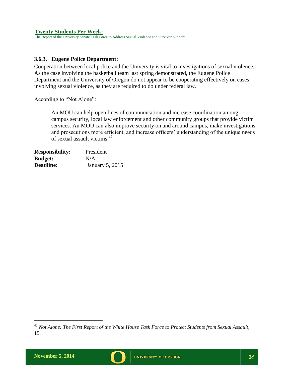The Report of the University Senate Task Force to Address Sexual Violence and Survivor Support

## **3.6.3. Eugene Police Department:**

Cooperation between local police and the University is vital to investigations of sexual violence. As the case involving the basketball team last spring demonstrated, the Eugene Police Department and the University of Oregon do not appear to be cooperating effectively on cases involving sexual violence, as they are required to do under federal law.

According to "Not Alone":

An MOU can help open lines of communication and increase coordination among campus security, local law enforcement and other community groups that provide victim services. An MOU can also improve security on and around campus, make investigations and prosecutions more efficient, and increase officers' understanding of the unique needs of sexual assault victims. **42**

| <b>Responsibility:</b> | President              |
|------------------------|------------------------|
| <b>Budget:</b>         | N/A                    |
| <b>Deadline:</b>       | <b>January 5, 2015</b> |

<sup>42</sup> *Not Alone: The First Report of the White House Task Force to Protect Students from Sexual Assault*, 15.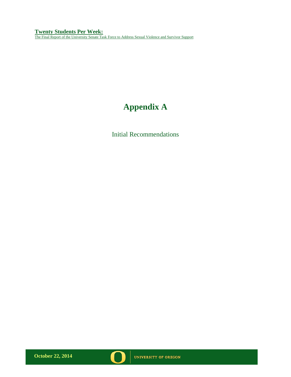**Twenty Students Per Week:** The Final Report of the University Senate Task Force to Address Sexual Violence and Survivor Support

# **Appendix A**

Initial Recommendations

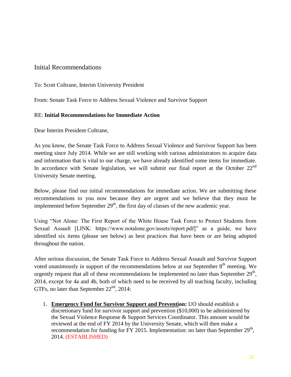# Initial Recommendations

To: Scott Coltrane, Interim University President

From: Senate Task Force to Address Sexual Violence and Survivor Support

# RE: **Initial Recommendations for Immediate Action**

Dear Interim President Coltrane,

As you know, the Senate Task Force to Address Sexual Violence and Survivor Support has been meeting since July 2014. While we are still working with various administrators to acquire data and information that is vital to our charge, we have already identified some items for immediate. In accordance with Senate legislation, we will submit our final report at the October  $22<sup>nd</sup>$ University Senate meeting.

Below, please find our initial recommendations for immediate action. We are submitting these recommendations to you now because they are urgent and we believe that they must be implemented before September  $29<sup>th</sup>$ , the first day of classes of the new academic year.

Using "Not Alone: The First Report of the White House Task Force to Protect Students from Sexual Assault [LINK: https://www.notalone.gov/assets/report.pdf]" as a guide, we have identified six items (please see below) as best practices that have been or are being adopted throughout the nation.

After serious discussion, the Senate Task Force to Address Sexual Assault and Survivor Support voted unanimously in support of the recommendations below at our September  $8<sup>th</sup>$  meeting. We urgently request that all of these recommendations be implemented no later than September  $29<sup>th</sup>$ , 2014, except for 4a and 4b, both of which need to be received by all teaching faculty, including GTFs, no later than September  $22<sup>nd</sup>$ , 2014:

1. **Emergency Fund for Survivor Support and Prevention:** UO should establish a discretionary fund for survivor support and prevention (\$10,000) to be administered by the Sexual Violence Response & Support Services Coordinator. This amount would be reviewed at the end of FY 2014 by the University Senate, which will then make a recommendation for funding for FY 2015. Implementation: no later than September  $29<sup>th</sup>$ , 2014. (ESTABLISHED)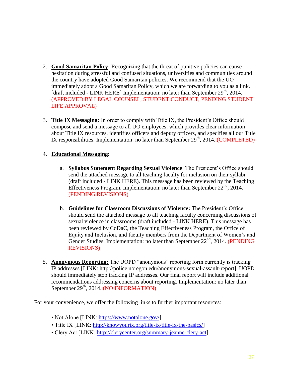- 2. **Good Samaritan Policy:** Recognizing that the threat of punitive policies can cause hesitation during stressful and confused situations, universities and communities around the country have adopted Good Samaritan policies. We recommend that the UO immediately adopt a Good Samaritan Policy, which we are forwarding to you as a link. [draft included - LINK HERE] Implementation: no later than September  $29<sup>th</sup>$ , 2014. (APPROVED BY LEGAL COUNSEL, STUDENT CONDUCT, PENDING STUDENT LIFE APPROVAL)
- 3. **Title IX Messaging:** In order to comply with Title IX, the President's Office should compose and send a message to all UO employees, which provides clear information about Title IX resources, identifies officers and deputy officers, and specifies all our Title IX responsibilities. Implementation: no later than September  $29<sup>th</sup>$ , 2014. (COMPLETED)

# 4. **Educational Messaging:**

- a. **Syllabus Statement Regarding Sexual Violence**: The President's Office should send the attached message to all teaching faculty for inclusion on their syllabi (draft included - LINK HERE). This message has been reviewed by the Teaching Effectiveness Program. Implementation: no later than September  $22<sup>nd</sup>$ , 2014. (PENDING REVISIONS)
- b. **Guidelines for Classroom Discussions of Violence:** The President's Office should send the attached message to all teaching faculty concerning discussions of sexual violence in classrooms (draft included - LINK HERE). This message has been reviewed by CoDaC, the Teaching Effectiveness Program, the Office of Equity and Inclusion, and faculty members from the Department of Women's and Gender Studies. Implementation: no later than September 22<sup>nd</sup>, 2014. (PENDING REVISIONS)
- 5. **Anonymous Reporting:** The UOPD "anonymous" reporting form currently is tracking IP addresses [LINK: http://police.uoregon.edu/anonymous-sexual-assault-report]. UOPD should immediately stop tracking IP addresses. Our final report will include additional recommendations addressing concerns about reporting. Implementation: no later than September 29<sup>th</sup>, 2014. (NO INFORMATION)

For your convenience, we offer the following links to further important resources:

- Not Alone [LINK: [https://www.notalone.gov/\]](https://www.notalone.gov/)
- Title IX [LINK: [http://knowyourix.org/title-ix/title-ix-the-basics/\]](http://knowyourix.org/title-ix/title-ix-the-basics/)
- Clery Act [LINK: [http://clerycenter.org/summary-jeanne-clery-act\]](http://clerycenter.org/summary-jeanne-clery-act)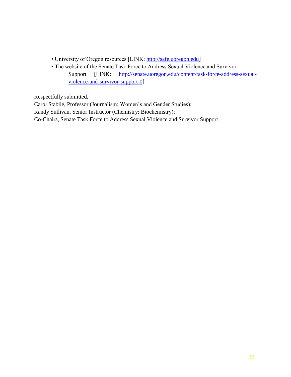- University of Oregon resources [LINK: [http://safe.uoregon.edu\]](http://safe.uoregon.edu/)
- The website of the Senate Task Force to Address Sexual Violence and Survivor Support [LINK: [http://senate.uoregon.edu/content/task-force-address-sexual](http://senate.uoregon.edu/content/task-force-address-sexual-violence-and-survivor-support-0)[violence-and-survivor-support-0\]](http://senate.uoregon.edu/content/task-force-address-sexual-violence-and-survivor-support-0)

Respectfully submitted,

Carol Stabile, Professor (Journalism; Women's and Gender Studies);

Randy Sullivan, Senior Instructor (Chemistry; Biochemistry);

Co-Chairs, Senate Task Force to Address Sexual Violence and Survivor Support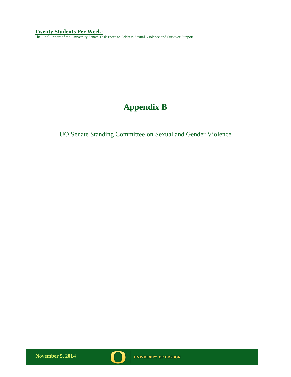**Twenty Students Per Week:** The Final Report of the University Senate Task Force to Address Sexual Violence and Survivor Support

# **Appendix B**

UO Senate Standing Committee on Sexual and Gender Violence

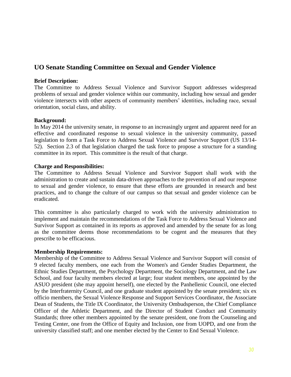# **UO Senate Standing Committee on Sexual and Gender Violence**

#### **Brief Description:**

The Committee to Address Sexual Violence and Survivor Support addresses widespread problems of sexual and gender violence within our community, including how sexual and gender violence intersects with other aspects of community members' identities, including race, sexual orientation, social class, and ability.

#### **Background:**

In May 2014 the university senate, in response to an increasingly urgent and apparent need for an effective and coordinated response to sexual violence in the university community, passed legislation to form a Task Force to Address Sexual Violence and Survivor Support (US 13/14- 52). Section 2.3 of that legislation charged the task force to propose a structure for a standing committee in its report. This committee is the result of that charge.

#### **Charge and Responsibilities:**

The Committee to Address Sexual Violence and Survivor Support shall work with the administration to create and sustain data-driven approaches to the prevention of and our response to sexual and gender violence, to ensure that these efforts are grounded in research and best practices, and to change the culture of our campus so that sexual and gender violence can be eradicated.

This committee is also particularly charged to work with the university administration to implement and maintain the recommendations of the Task Force to Address Sexual Violence and Survivor Support as contained in its reports as approved and amended by the senate for as long as the committee deems those recommendations to be cogent and the measures that they prescribe to be efficacious.

#### **Membership Requirements:**

Membership of the Committee to Address Sexual Violence and Survivor Support will consist of 9 elected faculty members, one each from the Women's and Gender Studies Department, the Ethnic Studies Department, the Psychology Department, the Sociology Department, and the Law School, and four faculty members elected at large; four student members, one appointed by the ASUO president (she may appoint herself), one elected by the Panhellenic Council, one elected by the Interfraternity Council, and one graduate student appointed by the senate president; six ex officio members, the Sexual Violence Response and Support Services Coordinator, the Associate Dean of Students, the Title IX Coordinator, the University Ombudsperson, the Chief Compliance Officer of the Athletic Department, and the Director of Student Conduct and Community Standards; three other members appointed by the senate president, one from the Counseling and Testing Center, one from the Office of Equity and Inclusion, one from UOPD, and one from the university classified staff; and one member elected by the Center to End Sexual Violence.